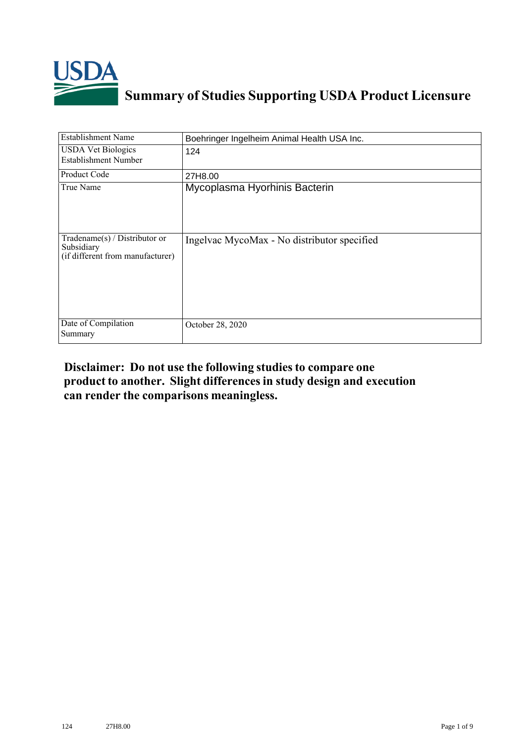

# **Summary of Studies Supporting USDA Product Licensure**

| <b>Establishment Name</b>                                                          | Boehringer Ingelheim Animal Health USA Inc. |
|------------------------------------------------------------------------------------|---------------------------------------------|
| <b>USDA Vet Biologics</b><br><b>Establishment Number</b>                           | 124                                         |
| <b>Product Code</b>                                                                | 27H8.00                                     |
| True Name                                                                          | Mycoplasma Hyorhinis Bacterin               |
| Tradename $(s)$ / Distributor or<br>Subsidiary<br>(if different from manufacturer) | Ingelvac MycoMax - No distributor specified |
| Date of Compilation<br>Summary                                                     | October 28, 2020                            |

## **Disclaimer: Do not use the following studiesto compare one product to another. Slight differencesin study design and execution can render the comparisons meaningless.**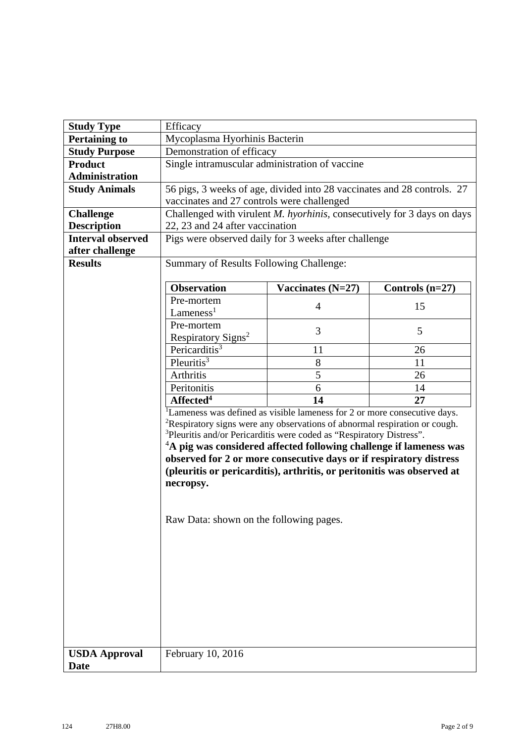| <b>Study Type</b>        | Efficacy                                                                               |                                                                                 |                   |  |  |
|--------------------------|----------------------------------------------------------------------------------------|---------------------------------------------------------------------------------|-------------------|--|--|
| <b>Pertaining to</b>     | Mycoplasma Hyorhinis Bacterin                                                          |                                                                                 |                   |  |  |
| <b>Study Purpose</b>     | Demonstration of efficacy                                                              |                                                                                 |                   |  |  |
| <b>Product</b>           | Single intramuscular administration of vaccine                                         |                                                                                 |                   |  |  |
| <b>Administration</b>    |                                                                                        |                                                                                 |                   |  |  |
| <b>Study Animals</b>     | 56 pigs, 3 weeks of age, divided into 28 vaccinates and 28 controls. 27                |                                                                                 |                   |  |  |
|                          | vaccinates and 27 controls were challenged                                             |                                                                                 |                   |  |  |
| <b>Challenge</b>         |                                                                                        | Challenged with virulent <i>M. hyorhinis</i> , consecutively for 3 days on days |                   |  |  |
| <b>Description</b>       | 22, 23 and 24 after vaccination                                                        |                                                                                 |                   |  |  |
| <b>Interval observed</b> |                                                                                        | Pigs were observed daily for 3 weeks after challenge                            |                   |  |  |
| after challenge          |                                                                                        |                                                                                 |                   |  |  |
| <b>Results</b>           | Summary of Results Following Challenge:                                                |                                                                                 |                   |  |  |
|                          |                                                                                        |                                                                                 |                   |  |  |
|                          | <b>Observation</b>                                                                     | Vaccinates $(N=27)$                                                             | Controls $(n=27)$ |  |  |
|                          | Pre-mortem                                                                             |                                                                                 | 15                |  |  |
|                          | $L$ ameness <sup>1</sup>                                                               | 4                                                                               |                   |  |  |
|                          | Pre-mortem                                                                             | 3                                                                               | 5                 |  |  |
|                          | Respiratory Signs <sup>2</sup>                                                         |                                                                                 |                   |  |  |
|                          | Pericarditis <sup>3</sup>                                                              | 11                                                                              | 26                |  |  |
|                          | Pleuritis $\overline{\text{}}^3$                                                       | 8                                                                               | 11                |  |  |
|                          | Arthritis                                                                              | $\overline{5}$                                                                  | 26                |  |  |
|                          | Peritonitis                                                                            | 6                                                                               | 14                |  |  |
|                          | Affected <sup>4</sup>                                                                  | 14                                                                              | 27                |  |  |
|                          |                                                                                        | Lameness was defined as visible lameness for 2 or more consecutive days.        |                   |  |  |
|                          | <sup>2</sup> Respiratory signs were any observations of abnormal respiration or cough. |                                                                                 |                   |  |  |
|                          | <sup>3</sup> Pleuritis and/or Pericarditis were coded as "Respiratory Distress".       |                                                                                 |                   |  |  |
|                          | $A4A$ pig was considered affected following challenge if lameness was                  |                                                                                 |                   |  |  |
|                          | observed for 2 or more consecutive days or if respiratory distress                     |                                                                                 |                   |  |  |
|                          | (pleuritis or pericarditis), arthritis, or peritonitis was observed at                 |                                                                                 |                   |  |  |
|                          | necropsy.                                                                              |                                                                                 |                   |  |  |
|                          |                                                                                        |                                                                                 |                   |  |  |
|                          |                                                                                        |                                                                                 |                   |  |  |
|                          | Raw Data: shown on the following pages.                                                |                                                                                 |                   |  |  |
|                          |                                                                                        |                                                                                 |                   |  |  |
|                          |                                                                                        |                                                                                 |                   |  |  |
|                          |                                                                                        |                                                                                 |                   |  |  |
|                          |                                                                                        |                                                                                 |                   |  |  |
|                          |                                                                                        |                                                                                 |                   |  |  |
|                          |                                                                                        |                                                                                 |                   |  |  |
|                          |                                                                                        |                                                                                 |                   |  |  |
|                          |                                                                                        |                                                                                 |                   |  |  |
|                          |                                                                                        |                                                                                 |                   |  |  |
| <b>USDA Approval</b>     | February 10, 2016                                                                      |                                                                                 |                   |  |  |
| <b>Date</b>              |                                                                                        |                                                                                 |                   |  |  |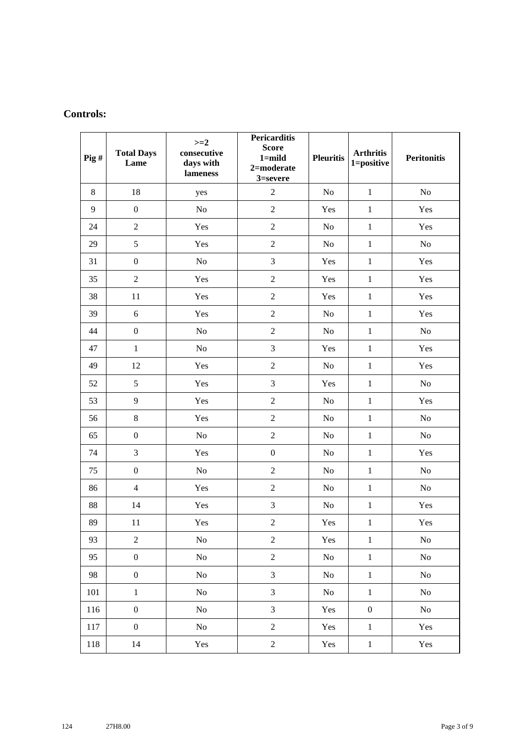### **Controls:**

| $\overline{P}$ ig# | <b>Total Days</b><br>Lame | $>=2$<br>consecutive<br>days with<br>lameness | <b>Pericarditis</b><br><b>Score</b><br>$1 =$ mild<br>2=moderate<br>3=severe | <b>Pleuritis</b> | <b>Arthritis</b><br>1=positive | <b>Peritonitis</b> |
|--------------------|---------------------------|-----------------------------------------------|-----------------------------------------------------------------------------|------------------|--------------------------------|--------------------|
| 8                  | 18                        | yes                                           | $\overline{2}$                                                              | No               | $\mathbf{1}$                   | No                 |
| 9                  | $\boldsymbol{0}$          | No                                            | $\sqrt{2}$                                                                  | Yes              | $\mathbf{1}$                   | Yes                |
| 24                 | $\sqrt{2}$                | Yes                                           | $\sqrt{2}$                                                                  | No               | $\mathbf{1}$                   | Yes                |
| 29                 | 5                         | Yes                                           | $\overline{2}$                                                              | No               | $\mathbf{1}$                   | No                 |
| 31                 | $\boldsymbol{0}$          | No                                            | 3                                                                           | Yes              | $\mathbf{1}$                   | Yes                |
| 35                 | $\overline{2}$            | Yes                                           | $\overline{2}$                                                              | Yes              | $\mathbf{1}$                   | Yes                |
| 38                 | 11                        | Yes                                           | $\overline{2}$                                                              | Yes              | $\mathbf{1}$                   | Yes                |
| 39                 | 6                         | Yes                                           | $\sqrt{2}$                                                                  | No               | $\mathbf{1}$                   | Yes                |
| 44                 | $\boldsymbol{0}$          | N <sub>o</sub>                                | $\overline{2}$                                                              | N <sub>o</sub>   | $\mathbf{1}$                   | No                 |
| 47                 | $\mathbf{1}$              | N <sub>o</sub>                                | 3                                                                           | Yes              | $\mathbf{1}$                   | Yes                |
| 49                 | 12                        | Yes                                           | $\overline{2}$                                                              | No               | $\mathbf{1}$                   | Yes                |
| 52                 | 5                         | Yes                                           | 3                                                                           | Yes              | $\mathbf{1}$                   | $\rm No$           |
| 53                 | 9                         | Yes                                           | $\overline{2}$                                                              | No               | $\mathbf{1}$                   | Yes                |
| 56                 | $8\,$                     | Yes                                           | $\sqrt{2}$                                                                  | No               | $\mathbf{1}$                   | No                 |
| 65                 | $\boldsymbol{0}$          | $\rm No$                                      | $\overline{2}$                                                              | No               | $\mathbf{1}$                   | No                 |
| 74                 | 3                         | Yes                                           | $\boldsymbol{0}$                                                            | No               | $\mathbf{1}$                   | Yes                |
| 75                 | $\boldsymbol{0}$          | $\rm No$                                      | $\overline{2}$                                                              | N <sub>o</sub>   | $\mathbf{1}$                   | No                 |
| 86                 | $\overline{4}$            | Yes                                           | $\sqrt{2}$                                                                  | No               | $\mathbf{1}$                   | $\rm No$           |
| 88                 | 14                        | Yes                                           | 3                                                                           | No               | $\mathbf{1}$                   | Yes                |
| 89                 | 11                        | Yes                                           | $\sqrt{2}$                                                                  | Yes              | $\mathbf{1}$                   | Yes                |
| 93                 | $\sqrt{2}$                | N <sub>o</sub>                                | $\overline{2}$                                                              | Yes              | $1\,$                          | N <sub>o</sub>     |
| 95                 | $\boldsymbol{0}$          | $\rm No$                                      | $\mathbf{2}$                                                                | $\rm No$         | $\mathbf 1$                    | No                 |
| 98                 | $\boldsymbol{0}$          | No                                            | $\mathfrak{Z}$                                                              | No               | $1\,$                          | No                 |
| 101                | $\mathbf 1$               | $\rm No$                                      | $\mathfrak{Z}$                                                              | No               | $\,1\,$                        | $\rm No$           |
| 116                | $\boldsymbol{0}$          | $\rm No$                                      | $\mathfrak{Z}$                                                              | Yes              | $\boldsymbol{0}$               | No                 |
| 117                | $\boldsymbol{0}$          | N <sub>0</sub>                                | $\boldsymbol{2}$                                                            | Yes              | $\mathbf{1}$                   | Yes                |
| 118                | 14                        | Yes                                           | $\boldsymbol{2}$                                                            | Yes              | $\mathbf 1$                    | Yes                |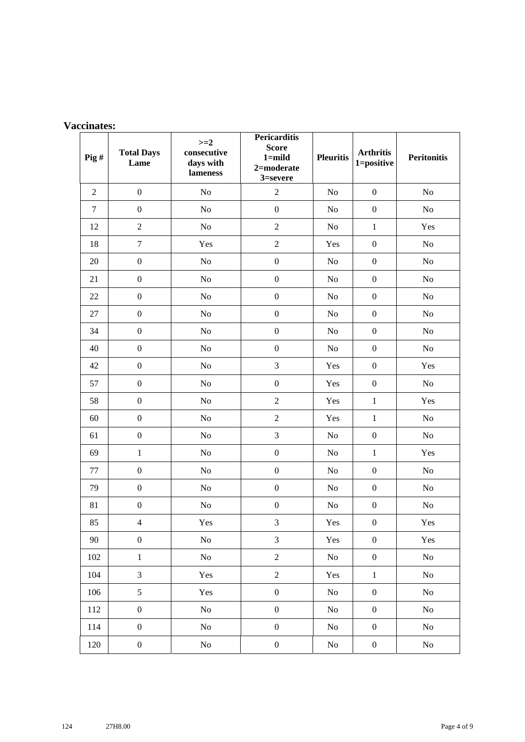| <b>Vaccinates:</b> |  |
|--------------------|--|
|                    |  |

| $\overline{Pig}$ # | <b>Total Days</b><br>Lame | $>=2$<br>consecutive<br>days with<br>lameness | <b>Pericarditis</b><br><b>Score</b><br>$1 =$ mild<br>$2$ =moderate<br>3=severe | <b>Pleuritis</b> | <b>Arthritis</b><br>1=positive | <b>Peritonitis</b> |
|--------------------|---------------------------|-----------------------------------------------|--------------------------------------------------------------------------------|------------------|--------------------------------|--------------------|
| $\overline{2}$     | $\boldsymbol{0}$          | No                                            | $\overline{c}$                                                                 | $\rm No$         | $\overline{0}$                 | No                 |
| $\tau$             | $\boldsymbol{0}$          | No                                            | $\boldsymbol{0}$                                                               | No               | $\boldsymbol{0}$               | No                 |
| 12                 | $\overline{c}$            | No                                            | $\overline{2}$                                                                 | No               | $\mathbf{1}$                   | Yes                |
| 18                 | $\boldsymbol{7}$          | Yes                                           | $\overline{2}$                                                                 | Yes              | $\boldsymbol{0}$               | No                 |
| 20                 | $\boldsymbol{0}$          | No                                            | $\boldsymbol{0}$                                                               | N <sub>o</sub>   | $\boldsymbol{0}$               | No                 |
| 21                 | $\boldsymbol{0}$          | No                                            | $\boldsymbol{0}$                                                               | No               | $\boldsymbol{0}$               | $\rm No$           |
| 22                 | $\boldsymbol{0}$          | No                                            | $\boldsymbol{0}$                                                               | No               | $\boldsymbol{0}$               | $\rm No$           |
| 27                 | $\boldsymbol{0}$          | No                                            | $\boldsymbol{0}$                                                               | N <sub>o</sub>   | $\boldsymbol{0}$               | No                 |
| 34                 | $\boldsymbol{0}$          | $\rm No$                                      | $\boldsymbol{0}$                                                               | No               | $\boldsymbol{0}$               | $\rm No$           |
| 40                 | $\boldsymbol{0}$          | No                                            | $\boldsymbol{0}$                                                               | No               | $\boldsymbol{0}$               | No                 |
| 42                 | $\boldsymbol{0}$          | No                                            | 3                                                                              | Yes              | $\boldsymbol{0}$               | Yes                |
| 57                 | $\boldsymbol{0}$          | $\rm No$                                      | $\boldsymbol{0}$                                                               | Yes              | $\boldsymbol{0}$               | $\rm No$           |
| 58                 | $\boldsymbol{0}$          | No                                            | $\sqrt{2}$                                                                     | Yes              | $\mathbf{1}$                   | Yes                |
| 60                 | $\boldsymbol{0}$          | No                                            | $\overline{2}$                                                                 | Yes              | $\mathbf{1}$                   | No                 |
| 61                 | $\boldsymbol{0}$          | $\rm No$                                      | 3                                                                              | $\rm No$         | $\boldsymbol{0}$               | $\rm No$           |
| 69                 | $\mathbf{1}$              | No                                            | $\boldsymbol{0}$                                                               | No               | $\mathbf{1}$                   | Yes                |
| 77                 | $\boldsymbol{0}$          | No                                            | $\boldsymbol{0}$                                                               | No               | $\boldsymbol{0}$               | No                 |
| 79                 | $\boldsymbol{0}$          | No                                            | $\boldsymbol{0}$                                                               | No               | $\boldsymbol{0}$               | No                 |
| 81                 | $\boldsymbol{0}$          | No                                            | $\boldsymbol{0}$                                                               | No               | $\boldsymbol{0}$               | No                 |
| 85                 | $\overline{4}$            | Yes                                           | 3                                                                              | Yes              | $\boldsymbol{0}$               | Yes                |
| 90                 | $\boldsymbol{0}$          | N <sub>o</sub>                                | 3                                                                              | Yes              | $\boldsymbol{0}$               | Yes                |
| 102                | $\,1\,$                   | $\rm No$                                      | $\overline{2}$                                                                 | $\rm No$         | $\boldsymbol{0}$               | $\rm No$           |
| 104                | $\overline{3}$            | Yes                                           | $\sqrt{2}$                                                                     | Yes              | $\mathbf 1$                    | $\rm No$           |
| 106                | 5                         | Yes                                           | $\boldsymbol{0}$                                                               | No               | $\boldsymbol{0}$               | No                 |
| 112                | $\boldsymbol{0}$          | $\rm No$                                      | $\boldsymbol{0}$                                                               | $\rm No$         | $\boldsymbol{0}$               | $\rm No$           |
| 114                | $\boldsymbol{0}$          | $\rm No$                                      | $\boldsymbol{0}$                                                               | No               | $\boldsymbol{0}$               | N <sub>0</sub>     |
| 120                | $\boldsymbol{0}$          | $\rm No$                                      | $\boldsymbol{0}$                                                               | $\rm No$         | $\boldsymbol{0}$               | $\rm No$           |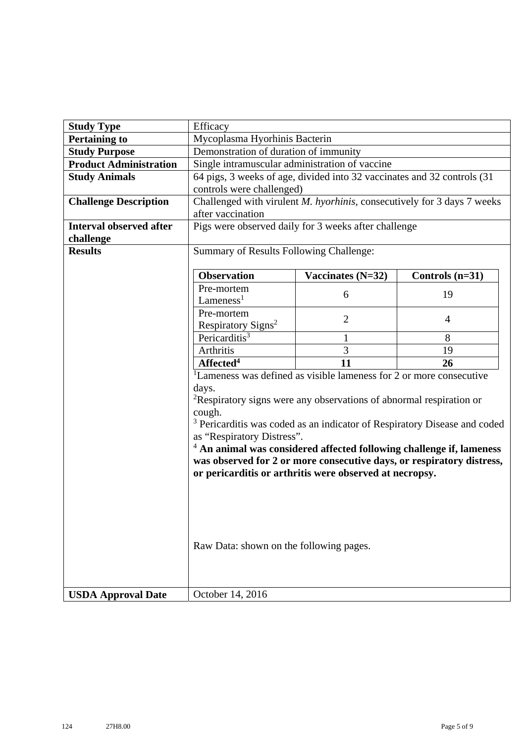| <b>Study Type</b>              | Efficacy                                                               |                                                                                 |                                                                                      |  |  |
|--------------------------------|------------------------------------------------------------------------|---------------------------------------------------------------------------------|--------------------------------------------------------------------------------------|--|--|
| <b>Pertaining to</b>           | Mycoplasma Hyorhinis Bacterin                                          |                                                                                 |                                                                                      |  |  |
| <b>Study Purpose</b>           | Demonstration of duration of immunity                                  |                                                                                 |                                                                                      |  |  |
| <b>Product Administration</b>  |                                                                        | Single intramuscular administration of vaccine                                  |                                                                                      |  |  |
| <b>Study Animals</b>           |                                                                        | 64 pigs, 3 weeks of age, divided into 32 vaccinates and 32 controls (31         |                                                                                      |  |  |
|                                | controls were challenged)                                              |                                                                                 |                                                                                      |  |  |
| <b>Challenge Description</b>   |                                                                        | Challenged with virulent M. hyorhinis, consecutively for 3 days 7 weeks         |                                                                                      |  |  |
|                                | after vaccination                                                      |                                                                                 |                                                                                      |  |  |
| <b>Interval observed after</b> |                                                                        | Pigs were observed daily for 3 weeks after challenge                            |                                                                                      |  |  |
| challenge                      |                                                                        |                                                                                 |                                                                                      |  |  |
| <b>Results</b>                 | Summary of Results Following Challenge:                                |                                                                                 |                                                                                      |  |  |
|                                |                                                                        |                                                                                 |                                                                                      |  |  |
|                                | <b>Observation</b>                                                     | Vaccinates $(N=32)$                                                             | Controls $(n=31)$                                                                    |  |  |
|                                | Pre-mortem                                                             | 6                                                                               | 19                                                                                   |  |  |
|                                | $L$ ameness <sup>1</sup>                                               |                                                                                 |                                                                                      |  |  |
|                                | Pre-mortem                                                             | $\overline{2}$                                                                  | $\overline{4}$                                                                       |  |  |
|                                | Respiratory Signs <sup>2</sup>                                         |                                                                                 |                                                                                      |  |  |
|                                | Pericarditis <sup>3</sup>                                              | 1                                                                               | 8                                                                                    |  |  |
|                                | Arthritis                                                              | 3                                                                               | 19                                                                                   |  |  |
|                                | Affected <sup>4</sup>                                                  | 11                                                                              | 26                                                                                   |  |  |
|                                |                                                                        | <sup>1</sup> Lameness was defined as visible lameness for 2 or more consecutive |                                                                                      |  |  |
|                                | days.                                                                  |                                                                                 |                                                                                      |  |  |
|                                |                                                                        | <sup>2</sup> Respiratory signs were any observations of abnormal respiration or |                                                                                      |  |  |
|                                | cough.                                                                 |                                                                                 |                                                                                      |  |  |
|                                | as "Respiratory Distress".                                             |                                                                                 | <sup>3</sup> Pericarditis was coded as an indicator of Respiratory Disease and coded |  |  |
|                                | $4$ An animal was considered affected following challenge if, lameness |                                                                                 |                                                                                      |  |  |
|                                | was observed for 2 or more consecutive days, or respiratory distress,  |                                                                                 |                                                                                      |  |  |
|                                | or pericarditis or arthritis were observed at necropsy.                |                                                                                 |                                                                                      |  |  |
|                                |                                                                        |                                                                                 |                                                                                      |  |  |
|                                |                                                                        |                                                                                 |                                                                                      |  |  |
|                                |                                                                        |                                                                                 |                                                                                      |  |  |
|                                |                                                                        |                                                                                 |                                                                                      |  |  |
|                                |                                                                        |                                                                                 |                                                                                      |  |  |
|                                | Raw Data: shown on the following pages.                                |                                                                                 |                                                                                      |  |  |
|                                |                                                                        |                                                                                 |                                                                                      |  |  |
|                                |                                                                        |                                                                                 |                                                                                      |  |  |
|                                |                                                                        |                                                                                 |                                                                                      |  |  |
| <b>USDA Approval Date</b>      | October 14, 2016                                                       |                                                                                 |                                                                                      |  |  |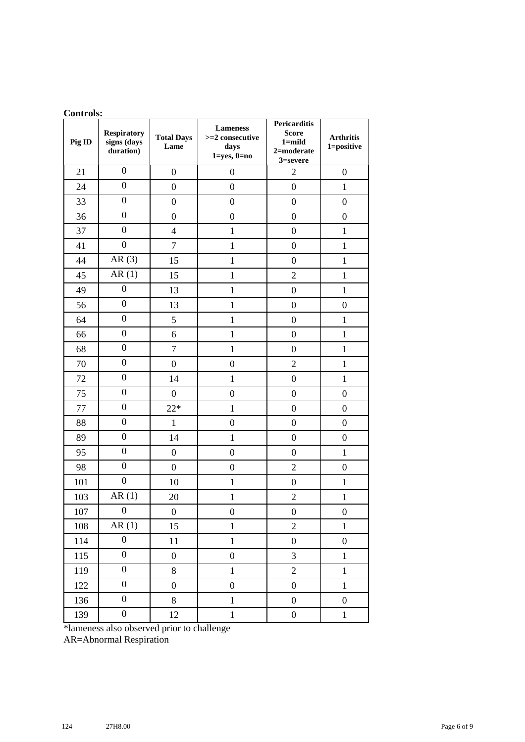| Contras.<br>Pig ID | <b>Lameness</b><br><b>Respiratory</b><br><b>Total Days</b><br>signs (days |                  | >=2 consecutive           | <b>Pericarditis</b><br><b>Score</b><br>$1 =$ mild | <b>Arthritis</b> |  |
|--------------------|---------------------------------------------------------------------------|------------------|---------------------------|---------------------------------------------------|------------------|--|
|                    | duration)                                                                 | Lame             | days<br>$1 = yes, 0 = no$ | 2=moderate<br>3=severe                            | 1=positive       |  |
| 21                 | $\boldsymbol{0}$                                                          | $\boldsymbol{0}$ | $\boldsymbol{0}$          | $\overline{2}$                                    | $\boldsymbol{0}$ |  |
| 24                 | $\overline{0}$                                                            | $\boldsymbol{0}$ | $\overline{0}$            | $\overline{0}$                                    | $\mathbf{1}$     |  |
| 33                 | $\overline{0}$                                                            | $\boldsymbol{0}$ | $\boldsymbol{0}$          | $\boldsymbol{0}$                                  | $\boldsymbol{0}$ |  |
| 36                 | $\boldsymbol{0}$                                                          | $\boldsymbol{0}$ | $\boldsymbol{0}$          | $\boldsymbol{0}$                                  | $\boldsymbol{0}$ |  |
| 37                 | $\boldsymbol{0}$                                                          | $\overline{4}$   | $\mathbf{1}$              | $\boldsymbol{0}$                                  | $\mathbf{1}$     |  |
| 41                 | $\boldsymbol{0}$                                                          | $\boldsymbol{7}$ | $\mathbf{1}$              | $\boldsymbol{0}$                                  | $\mathbf{1}$     |  |
| 44                 | AR(3)                                                                     | 15               | $\mathbf{1}$              | $\boldsymbol{0}$                                  | $\mathbf{1}$     |  |
| 45                 | AR(1)                                                                     | 15               | $\mathbf{1}$              | $\overline{2}$                                    | $\mathbf{1}$     |  |
| 49                 | $\boldsymbol{0}$                                                          | 13               | $\mathbf{1}$              | $\overline{0}$                                    | $\mathbf{1}$     |  |
| 56                 | $\overline{0}$                                                            | 13               | $\mathbf{1}$              | $\boldsymbol{0}$                                  | $\boldsymbol{0}$ |  |
| 64                 | $\overline{0}$                                                            | 5                | $\mathbf{1}$              | $\overline{0}$                                    | $\mathbf{1}$     |  |
| 66                 | $\boldsymbol{0}$                                                          | 6                | $\mathbf{1}$              | $\boldsymbol{0}$                                  | $\mathbf{1}$     |  |
| 68                 | $\boldsymbol{0}$                                                          | $\tau$           | $\mathbf{1}$              | $\boldsymbol{0}$                                  | $\mathbf{1}$     |  |
| 70                 | $\overline{0}$                                                            | $\boldsymbol{0}$ | $\boldsymbol{0}$          | $\overline{c}$                                    | $\mathbf{1}$     |  |
| 72                 | $\overline{0}$                                                            | 14               | $\mathbf{1}$              | $\boldsymbol{0}$                                  | $\mathbf{1}$     |  |
| 75                 | $\overline{0}$                                                            | $\boldsymbol{0}$ | $\boldsymbol{0}$          | $\boldsymbol{0}$                                  | $\boldsymbol{0}$ |  |
| 77                 | $\boldsymbol{0}$                                                          | $22*$            | $\mathbf 1$               | $\boldsymbol{0}$                                  | $\boldsymbol{0}$ |  |
| 88                 | $\boldsymbol{0}$                                                          | $\mathbf{1}$     | $\boldsymbol{0}$          | $\boldsymbol{0}$                                  | $\boldsymbol{0}$ |  |
| 89                 | $\overline{0}$                                                            | 14               | $\mathbf{1}$              | $\boldsymbol{0}$                                  | $\boldsymbol{0}$ |  |
| 95                 | $\overline{0}$                                                            | $\boldsymbol{0}$ | $\boldsymbol{0}$          | $\boldsymbol{0}$                                  | $\mathbf{1}$     |  |
| 98                 | $\boldsymbol{0}$                                                          | $\boldsymbol{0}$ | $\boldsymbol{0}$          | $\overline{2}$                                    | $\overline{0}$   |  |
| 101                | $\boldsymbol{0}$                                                          | 10               | $\mathbf 1$               | $\boldsymbol{0}$                                  | $\mathbf{1}$     |  |
| 103                | AR(1)                                                                     | 20               | $\mathbf{1}$              | $\overline{c}$                                    | $\mathbf{1}$     |  |
| 107                | $\mathbf{0}$                                                              | $\boldsymbol{0}$ | $\boldsymbol{0}$          | $\boldsymbol{0}$                                  | $\boldsymbol{0}$ |  |
| 108                | AR(1)                                                                     | 15               | $\mathbf{1}$              | $\overline{2}$                                    | $\,1\,$          |  |
| 114                | $\boldsymbol{0}$                                                          | 11               | $\,1$                     | $\boldsymbol{0}$                                  | $\boldsymbol{0}$ |  |
| 115                | $\boldsymbol{0}$                                                          | $\boldsymbol{0}$ | $\boldsymbol{0}$          | 3                                                 | $\mathbf{1}$     |  |
| 119                | $\boldsymbol{0}$                                                          | 8                | $\,1$                     | $\overline{2}$                                    | $\mathbf{1}$     |  |
| 122                | $\boldsymbol{0}$                                                          | $\boldsymbol{0}$ | $\boldsymbol{0}$          | $\boldsymbol{0}$                                  | $\,1$            |  |
| 136                | $\boldsymbol{0}$                                                          | $8\,$            | $\,1$                     | $\boldsymbol{0}$                                  | $\boldsymbol{0}$ |  |
| 139                | $\boldsymbol{0}$                                                          | 12               | $\,1$                     | $\boldsymbol{0}$                                  | $\,1$            |  |

#### **Controls:**

\*lameness also observed prior to challenge

AR=Abnormal Respiration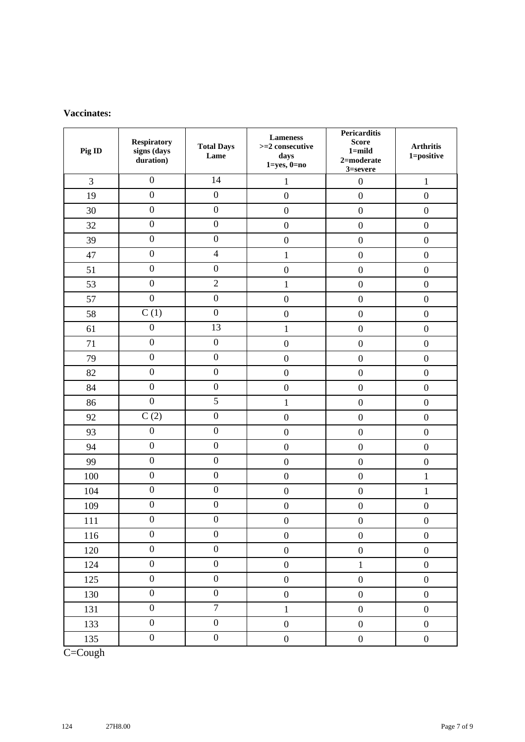#### **Vaccinates:**

| Pig ID | <b>Respiratory</b><br>signs (days<br>duration) | <b>Total Days</b><br>Lame | <b>Lameness</b><br>$>=$ 2 consecutive<br>days<br>$1 = yes, 0 = no$ | <b>Pericarditis</b><br><b>Score</b><br>$1 =$ mild<br>$2$ =moderate<br>3=severe | <b>Arthritis</b><br>1=positive |
|--------|------------------------------------------------|---------------------------|--------------------------------------------------------------------|--------------------------------------------------------------------------------|--------------------------------|
| 3      | $\boldsymbol{0}$                               | 14                        | $\mathbf{1}$                                                       | $\boldsymbol{0}$                                                               | $\mathbf{1}$                   |
| 19     | $\overline{0}$                                 | $\boldsymbol{0}$          | $\boldsymbol{0}$                                                   | $\boldsymbol{0}$                                                               | $\boldsymbol{0}$               |
| 30     | $\boldsymbol{0}$                               | $\boldsymbol{0}$          | $\boldsymbol{0}$                                                   | $\boldsymbol{0}$                                                               | $\boldsymbol{0}$               |
| 32     | $\boldsymbol{0}$                               | $\boldsymbol{0}$          | $\boldsymbol{0}$                                                   | $\boldsymbol{0}$                                                               | $\boldsymbol{0}$               |
| 39     | $\boldsymbol{0}$                               | $\boldsymbol{0}$          | $\boldsymbol{0}$                                                   | $\boldsymbol{0}$                                                               | $\boldsymbol{0}$               |
| 47     | $\boldsymbol{0}$                               | $\overline{4}$            | $\mathbf{1}$                                                       | $\boldsymbol{0}$                                                               | $\boldsymbol{0}$               |
| 51     | $\boldsymbol{0}$                               | $\boldsymbol{0}$          | $\boldsymbol{0}$                                                   | $\boldsymbol{0}$                                                               | $\boldsymbol{0}$               |
| 53     | $\boldsymbol{0}$                               | $\mathbf{2}$              | $\mathbf{1}$                                                       | $\boldsymbol{0}$                                                               | $\boldsymbol{0}$               |
| 57     | $\boldsymbol{0}$                               | $\boldsymbol{0}$          | $\boldsymbol{0}$                                                   | $\boldsymbol{0}$                                                               | $\boldsymbol{0}$               |
| 58     | C(1)                                           | $\boldsymbol{0}$          | $\boldsymbol{0}$                                                   | $\boldsymbol{0}$                                                               | $\boldsymbol{0}$               |
| 61     | $\boldsymbol{0}$                               | 13                        | $\mathbf{1}$                                                       | $\boldsymbol{0}$                                                               | $\boldsymbol{0}$               |
| 71     | $\boldsymbol{0}$                               | $\boldsymbol{0}$          | $\boldsymbol{0}$                                                   | $\boldsymbol{0}$                                                               | $\boldsymbol{0}$               |
| 79     | $\boldsymbol{0}$                               | $\boldsymbol{0}$          | $\boldsymbol{0}$                                                   | $\boldsymbol{0}$                                                               | $\boldsymbol{0}$               |
| 82     | $\boldsymbol{0}$                               | $\boldsymbol{0}$          | $\boldsymbol{0}$                                                   | $\boldsymbol{0}$                                                               | $\boldsymbol{0}$               |
| 84     | $\boldsymbol{0}$                               | $\boldsymbol{0}$          | $\boldsymbol{0}$                                                   | $\boldsymbol{0}$                                                               | $\boldsymbol{0}$               |
| 86     | $\boldsymbol{0}$                               | 5                         | $\mathbf{1}$                                                       | $\boldsymbol{0}$                                                               | $\boldsymbol{0}$               |
| 92     | C(2)                                           | $\boldsymbol{0}$          | $\boldsymbol{0}$                                                   | $\boldsymbol{0}$                                                               | $\boldsymbol{0}$               |
| 93     | $\boldsymbol{0}$                               | $\boldsymbol{0}$          | $\boldsymbol{0}$                                                   | $\boldsymbol{0}$                                                               | $\boldsymbol{0}$               |
| 94     | $\boldsymbol{0}$                               | $\boldsymbol{0}$          | $\boldsymbol{0}$                                                   | $\boldsymbol{0}$                                                               | $\boldsymbol{0}$               |
| 99     | $\boldsymbol{0}$                               | $\boldsymbol{0}$          | $\boldsymbol{0}$                                                   | $\boldsymbol{0}$                                                               | $\boldsymbol{0}$               |
| 100    | $\boldsymbol{0}$                               | $\boldsymbol{0}$          | $\boldsymbol{0}$                                                   | $\boldsymbol{0}$                                                               | $\mathbf{1}$                   |
| 104    | $\boldsymbol{0}$                               | $\boldsymbol{0}$          | $\boldsymbol{0}$                                                   | $\boldsymbol{0}$                                                               | $\mathbf{1}$                   |
| 109    | $\boldsymbol{0}$                               | $\boldsymbol{0}$          | $\boldsymbol{0}$                                                   | $\boldsymbol{0}$                                                               | $\boldsymbol{0}$               |
| 111    | $\boldsymbol{0}$                               | $\boldsymbol{0}$          | $\overline{0}$                                                     | $\overline{0}$                                                                 | $\boldsymbol{0}$               |
| 116    | $\boldsymbol{0}$                               | $\boldsymbol{0}$          | $\boldsymbol{0}$                                                   | $\boldsymbol{0}$                                                               | $\boldsymbol{0}$               |
| 120    | $\boldsymbol{0}$                               | $\boldsymbol{0}$          | $\boldsymbol{0}$                                                   | $\boldsymbol{0}$                                                               | $\boldsymbol{0}$               |
| 124    | $\boldsymbol{0}$                               | $\boldsymbol{0}$          | $\boldsymbol{0}$                                                   | $\,1\,$                                                                        | $\boldsymbol{0}$               |
| 125    | $\boldsymbol{0}$                               | $\boldsymbol{0}$          | $\boldsymbol{0}$                                                   | $\boldsymbol{0}$                                                               | $\boldsymbol{0}$               |
| 130    | $\boldsymbol{0}$                               | $\boldsymbol{0}$          | $\boldsymbol{0}$                                                   | $\boldsymbol{0}$                                                               | $\boldsymbol{0}$               |
| 131    | $\boldsymbol{0}$                               | $\overline{7}$            | $\mathbf{1}$                                                       | $\boldsymbol{0}$                                                               | $\boldsymbol{0}$               |
| 133    | $\boldsymbol{0}$                               | $\boldsymbol{0}$          | $\boldsymbol{0}$                                                   | $\boldsymbol{0}$                                                               | $\boldsymbol{0}$               |
| 135    | $\boldsymbol{0}$                               | $\boldsymbol{0}$          | $\boldsymbol{0}$                                                   | $\boldsymbol{0}$                                                               | $\boldsymbol{0}$               |

C=Cough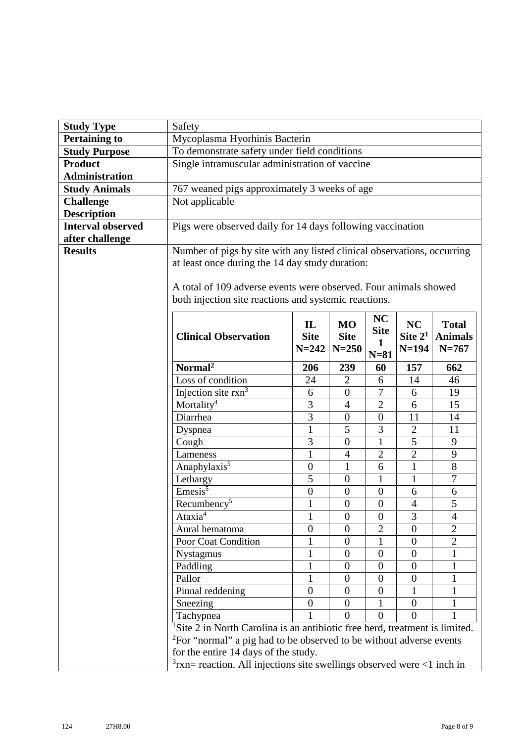| <b>Study Type</b>        | Safety                                                                                  |                  |                          |                  |                        |                |
|--------------------------|-----------------------------------------------------------------------------------------|------------------|--------------------------|------------------|------------------------|----------------|
| <b>Pertaining to</b>     | Mycoplasma Hyorhinis Bacterin                                                           |                  |                          |                  |                        |                |
| <b>Study Purpose</b>     | To demonstrate safety under field conditions                                            |                  |                          |                  |                        |                |
| <b>Product</b>           | Single intramuscular administration of vaccine                                          |                  |                          |                  |                        |                |
| <b>Administration</b>    |                                                                                         |                  |                          |                  |                        |                |
| <b>Study Animals</b>     | 767 weaned pigs approximately 3 weeks of age                                            |                  |                          |                  |                        |                |
| <b>Challenge</b>         | Not applicable                                                                          |                  |                          |                  |                        |                |
| <b>Description</b>       |                                                                                         |                  |                          |                  |                        |                |
| <b>Interval observed</b> | Pigs were observed daily for 14 days following vaccination                              |                  |                          |                  |                        |                |
| after challenge          |                                                                                         |                  |                          |                  |                        |                |
| <b>Results</b>           | Number of pigs by site with any listed clinical observations, occurring                 |                  |                          |                  |                        |                |
|                          | at least once during the 14 day study duration:                                         |                  |                          |                  |                        |                |
|                          |                                                                                         |                  |                          |                  |                        |                |
|                          | A total of 109 adverse events were observed. Four animals showed                        |                  |                          |                  |                        |                |
|                          | both injection site reactions and systemic reactions.                                   |                  |                          |                  |                        |                |
|                          |                                                                                         | $\mathbf{L}$     |                          | <b>NC</b>        |                        | <b>Total</b>   |
|                          | <b>Clinical Observation</b>                                                             | <b>Site</b>      | <b>MO</b><br><b>Site</b> | <b>Site</b>      | <b>NC</b><br>Site $21$ | <b>Animals</b> |
|                          |                                                                                         | $N = 242$        | $N = 250$                | 1                | $N=194$                | $N = 767$      |
|                          |                                                                                         |                  |                          | $N=81$           |                        |                |
|                          | Normal <sup>2</sup>                                                                     | 206              | 239                      | 60               | 157                    | 662            |
|                          | Loss of condition                                                                       | 24               | $\overline{2}$           | 6                | 14                     | 46             |
|                          | Injection site $rxn^3$                                                                  | 6                | $\overline{0}$           | 7                | 6                      | 19             |
|                          | Mortality <sup>4</sup>                                                                  | 3                | $\overline{4}$           | $\overline{2}$   | 6                      | 15             |
|                          | Diarrhea                                                                                | $\overline{3}$   | $\boldsymbol{0}$         | $\theta$         | 11                     | 14             |
|                          | Dyspnea                                                                                 | $\mathbf{1}$     | 5                        | 3                | $\overline{2}$         | 11             |
|                          | Cough                                                                                   | 3                | $\boldsymbol{0}$         | $\mathbf{1}$     | 5                      | 9              |
|                          | Lameness                                                                                | $\mathbf{1}$     | $\overline{4}$           | $\overline{2}$   | $\overline{2}$         | 9              |
|                          | Anaphylaxis <sup>5</sup>                                                                | $\boldsymbol{0}$ | $\mathbf{1}$             | 6                | $\mathbf{1}$           | 8              |
|                          | Lethargy                                                                                | 5                | $\boldsymbol{0}$         | $\mathbf{1}$     | $\mathbf{1}$           | $\overline{7}$ |
|                          | $Emesis^5$                                                                              | $\boldsymbol{0}$ | $\overline{0}$           | $\theta$         | 6                      | 6              |
|                          | Recumbency <sup>5</sup>                                                                 | $\mathbf{1}$     | $\boldsymbol{0}$         | $\boldsymbol{0}$ | $\overline{4}$         | 5              |
|                          | Ataxia                                                                                  | 1                | $\mathbf 0$              | $\theta$         | 3                      | 4              |
|                          | Aural hematoma                                                                          | $\boldsymbol{0}$ | $\boldsymbol{0}$         | $\overline{2}$   | $\theta$               | $\overline{2}$ |
|                          | Poor Coat Condition                                                                     | 1                | $\overline{0}$           | $\mathbf{1}$     | $\theta$               | $\overline{2}$ |
|                          | Nystagmus                                                                               | 1                | $\boldsymbol{0}$         | $\theta$         | $\theta$               | 1              |
|                          | Paddling                                                                                | 1                | $\overline{0}$           | $\overline{0}$   | $\Omega$               | 1              |
|                          | Pallor                                                                                  | 1                | $\boldsymbol{0}$         | $\theta$         | $\theta$               | 1              |
|                          | Pinnal reddening                                                                        | $\boldsymbol{0}$ | $\overline{0}$           | $\theta$         | 1                      | 1              |
|                          | Sneezing                                                                                | $\overline{0}$   | $\overline{0}$           | 1                | $\Omega$               | 1              |
|                          | Tachypnea                                                                               |                  | $\theta$                 | $\Omega$         | $\Omega$               | $\mathbf{1}$   |
|                          | <sup>1</sup> Site 2 in North Carolina is an antibiotic free herd, treatment is limited. |                  |                          |                  |                        |                |
|                          | <sup>2</sup> For "normal" a pig had to be observed to be without adverse events         |                  |                          |                  |                        |                |
|                          | for the entire 14 days of the study.                                                    |                  |                          |                  |                        |                |
|                          | $3$ rxn= reaction. All injections site swellings observed were <1 inch in               |                  |                          |                  |                        |                |